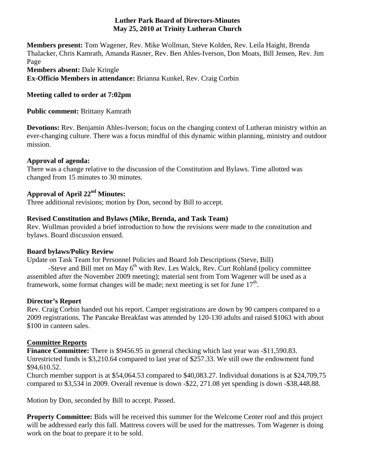#### **Luther Park Board of Directors-Minutes May 25, 2010 at Trinity Lutheran Church**

**Members present:** Tom Wagener, Rev. Mike Wollman, Steve Kolden, Rev. Leila Haight, Brenda Thalacker, Chris Kamrath, Amanda Rasner, Rev. Ben Ahles-Iverson, Don Moats, Bill Jensen, Rev. Jim Page **Members absent:** Dale Kringle

**Ex-Officio Members in attendance:** Brianna Kunkel, Rev. Craig Corbin

# **Meeting called to order at 7:02pm**

**Public comment:** Brittany Kamrath

**Devotions:** Rev. Benjamin Ahles-Iverson; focus on the changing context of Lutheran ministry within an ever-changing culture. There was a focus mindful of this dynamic within planning, ministry and outdoor mission.

#### **Approval of agenda:**

There was a change relative to the discussion of the Constitution and Bylaws. Time allotted was changed from 15 minutes to 30 minutes.

# **Approval of April 22nd Minutes:**

Three additional revisions; motion by Don, second by Bill to accept.

# **Revised Constitution and Bylaws (Mike, Brenda, and Task Team)**

Rev. Wollman provided a brief introduction to how the revisions were made to the constitution and bylaws. Board discussion ensued.

# **Board bylaws/Policy Review**

Update on Task Team for Personnel Policies and Board Job Descriptions (Steve, Bill)

-Steve and Bill met on May 6<sup>th</sup> with Rev. Les Walck, Rev. Curt Rohland (policy committee assembled after the November 2009 meeting); material sent from Tom Wagener will be used as a framework, some format changes will be made; next meeting is set for June  $17<sup>th</sup>$ .

# **Director's Report**

Rev. Craig Corbin handed out his report. Camper registrations are down by 90 campers compared to a 2009 registrations. The Pancake Breakfast was attended by 120-130 adults and raised \$1063 with about \$100 in canteen sales.

# **Committee Reports**

**Finance Committee:** There is \$9456.95 in general checking which last year was -\$11,590.83. Unrestricted funds is \$3,210.64 compared to last year of \$257.33. We still owe the endowment fund \$94,610.52.

Church member support is at \$54,064.53 compared to \$40,083.27. Individual donations is at \$24,709,75 compared to \$3,534 in 2009. Overall revenue is down -\$22, 271.08 yet spending is down -\$38,448.88.

Motion by Don, seconded by Bill to accept. Passed.

**Property Committee:** Bids will be received this summer for the Welcome Center roof and this project will be addressed early this fall. Mattress covers will be used for the mattresses. Tom Wagener is doing work on the boat to prepare it to be sold.